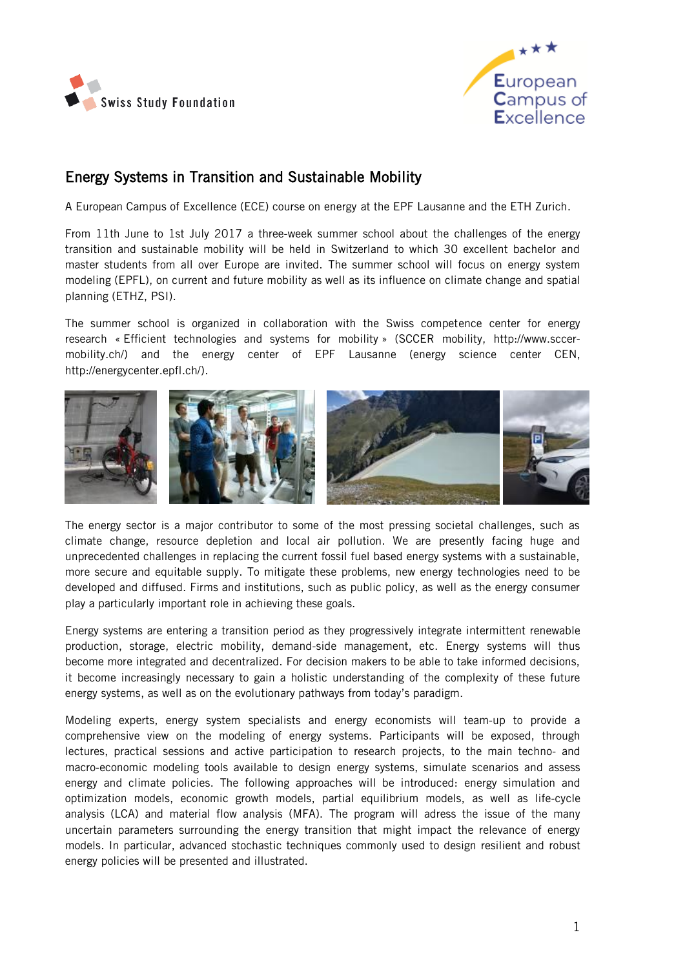



# Energy Systems in Transition and Sustainable Mobility

A European Campus of Excellence (ECE) course on energy at the EPF Lausanne and the ETH Zurich.

From 11th June to 1st July 2017 a three-week summer school about the challenges of the energy transition and sustainable mobility will be held in Switzerland to which 30 excellent bachelor and master students from all over Europe are invited. The summer school will focus on energy system modeling (EPFL), on current and future mobility as well as its influence on climate change and spatial planning (ETHZ, PSI).

The summer school is organized in collaboration with the Swiss competence center for energy research « Efficient technologies and systems for mobility » (SCCER mobility, http://www.sccermobility.ch/) and the energy center of EPF Lausanne (energy science center CEN, [http://energycenter.epfl.ch/\)](http://energycenter.epfl.ch/).



The energy sector is a major contributor to some of the most pressing societal challenges, such as climate change, resource depletion and local air pollution. We are presently facing huge and unprecedented challenges in replacing the current fossil fuel based energy systems with a sustainable, more secure and equitable supply. To mitigate these problems, new energy technologies need to be developed and diffused. Firms and institutions, such as public policy, as well as the energy consumer play a particularly important role in achieving these goals.

Energy systems are entering a transition period as they progressively integrate intermittent renewable production, storage, electric mobility, demand-side management, etc. Energy systems will thus become more integrated and decentralized. For decision makers to be able to take informed decisions, it become increasingly necessary to gain a holistic understanding of the complexity of these future energy systems, as well as on the evolutionary pathways from today's paradigm.

Modeling experts, energy system specialists and energy economists will team-up to provide a comprehensive view on the modeling of energy systems. Participants will be exposed, through lectures, practical sessions and active participation to research projects, to the main techno- and macro-economic modeling tools available to design energy systems, simulate scenarios and assess energy and climate policies. The following approaches will be introduced: energy simulation and optimization models, economic growth models, partial equilibrium models, as well as life-cycle analysis (LCA) and material flow analysis (MFA). The program will adress the issue of the many uncertain parameters surrounding the energy transition that might impact the relevance of energy models. In particular, advanced stochastic techniques commonly used to design resilient and robust energy policies will be presented and illustrated.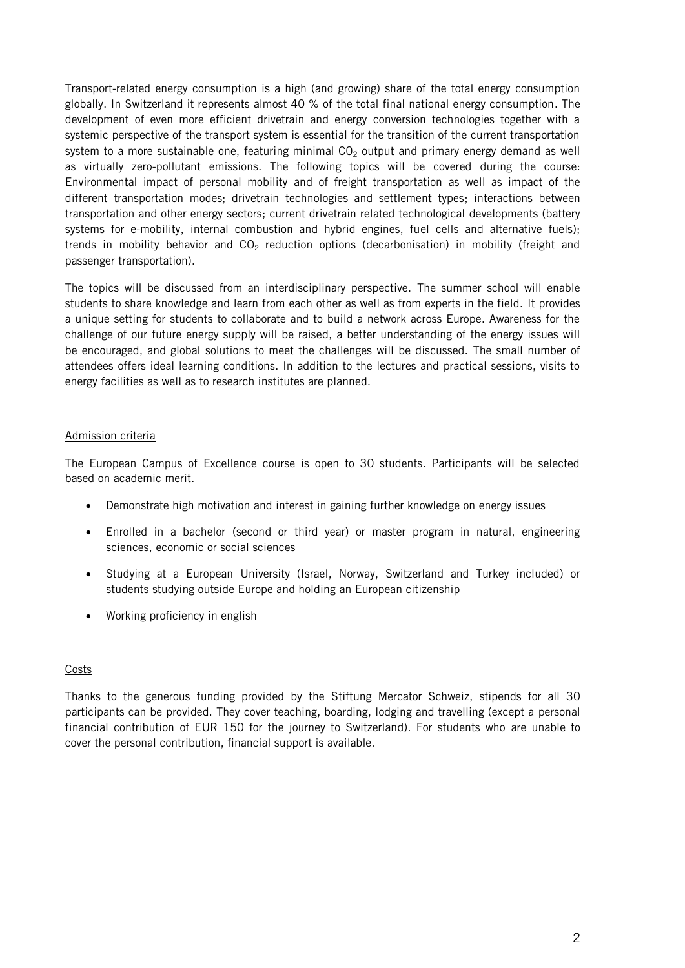Transport-related energy consumption is a high (and growing) share of the total energy consumption globally. In Switzerland it represents almost 40 % of the total final national energy consumption. The development of even more efficient drivetrain and energy conversion technologies together with a systemic perspective of the transport system is essential for the transition of the current transportation system to a more sustainable one, featuring minimal  $CO<sub>2</sub>$  output and primary energy demand as well as virtually zero-pollutant emissions. The following topics will be covered during the course: Environmental impact of personal mobility and of freight transportation as well as impact of the different transportation modes; drivetrain technologies and settlement types; interactions between transportation and other energy sectors; current drivetrain related technological developments (battery systems for e-mobility, internal combustion and hybrid engines, fuel cells and alternative fuels); trends in mobility behavior and  $CO<sub>2</sub>$  reduction options (decarbonisation) in mobility (freight and passenger transportation).

The topics will be discussed from an interdisciplinary perspective. The summer school will enable students to share knowledge and learn from each other as well as from experts in the field. It provides a unique setting for students to collaborate and to build a network across Europe. Awareness for the challenge of our future energy supply will be raised, a better understanding of the energy issues will be encouraged, and global solutions to meet the challenges will be discussed. The small number of attendees offers ideal learning conditions. In addition to the lectures and practical sessions, visits to energy facilities as well as to research institutes are planned.

# Admission criteria

The European Campus of Excellence course is open to 30 students. Participants will be selected based on academic merit.

- Demonstrate high motivation and interest in gaining further knowledge on energy issues
- Enrolled in a bachelor (second or third year) or master program in natural, engineering sciences, economic or social sciences
- Studying at a European University (Israel, Norway, Switzerland and Turkey included) or students studying outside Europe and holding an European citizenship
- Working proficiency in english

# **Costs**

Thanks to the generous funding provided by the Stiftung Mercator Schweiz, stipends for all 30 participants can be provided. They cover teaching, boarding, lodging and travelling (except a personal financial contribution of EUR 150 for the journey to Switzerland). For students who are unable to cover the personal contribution, financial support is available.